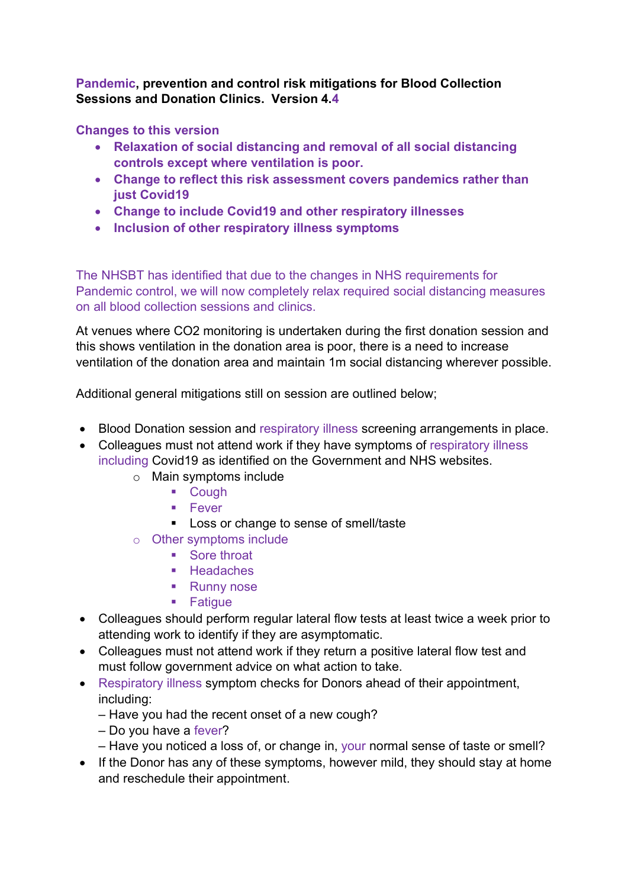Pandemic, prevention and control risk mitigations for Blood Collection Sessions and Donation Clinics. Version 4.4

Changes to this version

- Relaxation of social distancing and removal of all social distancing controls except where ventilation is poor.
- Change to reflect this risk assessment covers pandemics rather than just Covid19
- Change to include Covid19 and other respiratory illnesses
- Inclusion of other respiratory illness symptoms

The NHSBT has identified that due to the changes in NHS requirements for Pandemic control, we will now completely relax required social distancing measures on all blood collection sessions and clinics.

At venues where CO2 monitoring is undertaken during the first donation session and this shows ventilation in the donation area is poor, there is a need to increase ventilation of the donation area and maintain 1m social distancing wherever possible.

Additional general mitigations still on session are outlined below;

- Blood Donation session and respiratory illness screening arrangements in place.
- Colleagues must not attend work if they have symptoms of respiratory illness including Covid19 as identified on the Government and NHS websites.
	- o Main symptoms include
		- **E** Cough
		- $F = 5$
		- **Loss or change to sense of smell/taste**
	- o Other symptoms include
		- Sore throat
		- **Headaches**
		- Runny nose
		- **Fatique**
- Colleagues should perform regular lateral flow tests at least twice a week prior to attending work to identify if they are asymptomatic.
- Colleagues must not attend work if they return a positive lateral flow test and must follow government advice on what action to take.
- Respiratory illness symptom checks for Donors ahead of their appointment, including:
	- Have you had the recent onset of a new cough?
	- Do you have a fever?
	- Have you noticed a loss of, or change in, your normal sense of taste or smell?
- If the Donor has any of these symptoms, however mild, they should stay at home and reschedule their appointment.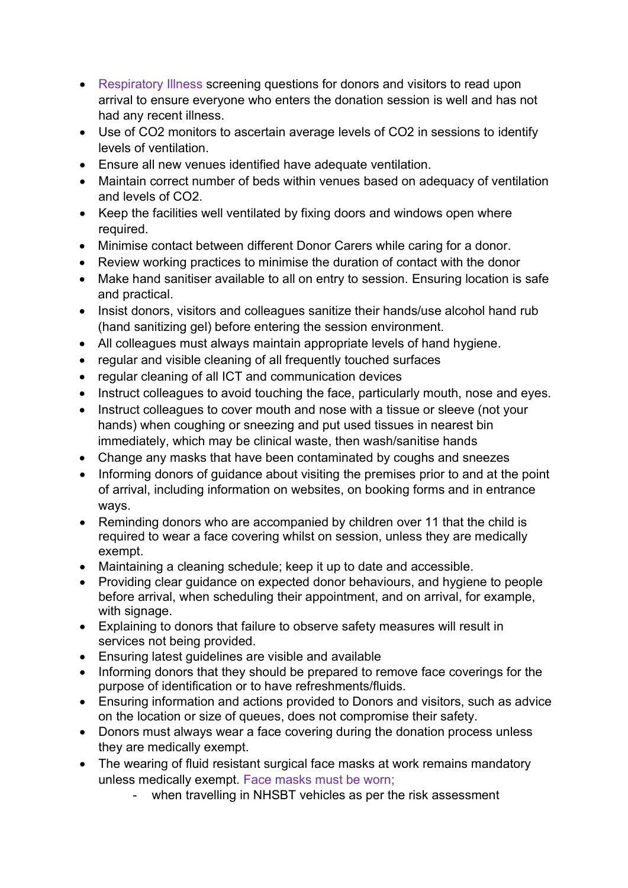- Respiratory Illness screening questions for donors and visitors to read upon arrival to ensure everyone who enters the donation session is well and has not had any recent illness.
- Use of CO2 monitors to ascertain average levels of CO2 in sessions to identify levels of ventilation.
- Ensure all new venues identified have adequate ventilation.
- Maintain correct number of beds within venues based on adequacy of ventilation and levels of CO2.
- Keep the facilities well ventilated by fixing doors and windows open where required.
- Minimise contact between different Donor Carers while caring for a donor.
- Review working practices to minimise the duration of contact with the donor
- Make hand sanitiser available to all on entry to session. Ensuring location is safe and practical.
- Insist donors, visitors and colleagues sanitize their hands/use alcohol hand rub (hand sanitizing gel) before entering the session environment.
- All colleagues must always maintain appropriate levels of hand hygiene.
- regular and visible cleaning of all frequently touched surfaces
- regular cleaning of all ICT and communication devices
- Instruct colleagues to avoid touching the face, particularly mouth, nose and eyes.
- Instruct colleagues to cover mouth and nose with a tissue or sleeve (not your hands) when coughing or sneezing and put used tissues in nearest bin immediately, which may be clinical waste, then wash/sanitise hands
- Change any masks that have been contaminated by coughs and sneezes
- Informing donors of guidance about visiting the premises prior to and at the point of arrival, including information on websites, on booking forms and in entrance ways.
- Reminding donors who are accompanied by children over 11 that the child is required to wear a face covering whilst on session, unless they are medically exempt.
- Maintaining a cleaning schedule; keep it up to date and accessible.
- Providing clear guidance on expected donor behaviours, and hygiene to people before arrival, when scheduling their appointment, and on arrival, for example, with signage.
- Explaining to donors that failure to observe safety measures will result in services not being provided.
- Ensuring latest guidelines are visible and available
- Informing donors that they should be prepared to remove face coverings for the purpose of identification or to have refreshments/fluids.
- Ensuring information and actions provided to Donors and visitors, such as advice on the location or size of queues, does not compromise their safety.
- Donors must always wear a face covering during the donation process unless they are medically exempt.
- The wearing of fluid resistant surgical face masks at work remains mandatory unless medically exempt. Face masks must be worn;
	- when travelling in NHSBT vehicles as per the risk assessment